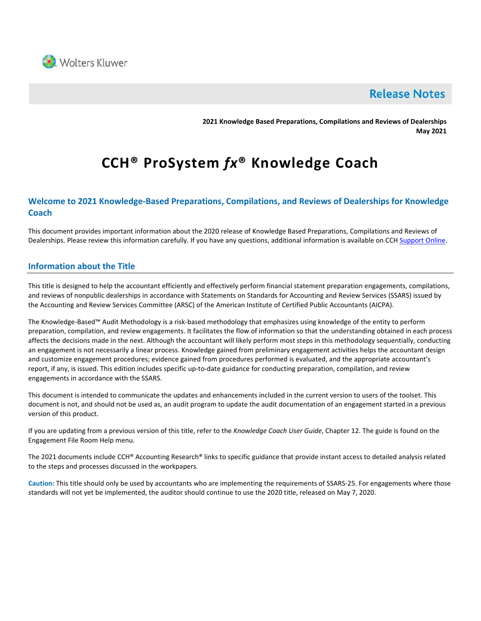

# **Release Notes**

**2021 Knowledge Based Preparations, Compilations and Reviews of Dealerships May 2021**

# **CCH® ProSystem** *fx***® Knowledge Coach**

# **Welcome to 2021 Knowledge-Based Preparations, Compilations, and Reviews of Dealerships for Knowledge Coach**

This document provides important information about the 2020 release of Knowledge Based Preparations, Compilations and Reviews of Dealerships. Please review this information carefully. If you have any questions, additional information is available on CCH [Support Online.](http://support.cch.com/productsupport/)

# **Information about the Title**

This title is designed to help the accountant efficiently and effectively perform financial statement preparation engagements, compilations, and reviews of nonpublic dealerships in accordance with Statements on Standards for Accounting and Review Services (SSARS) issued by the Accounting and Review Services Committee (ARSC) of the American Institute of Certified Public Accountants (AICPA).

The Knowledge-Based™ Audit Methodology is a risk-based methodology that emphasizes using knowledge of the entity to perform preparation, compilation, and review engagements. It facilitates the flow of information so that the understanding obtained in each process affects the decisions made in the next. Although the accountant will likely perform most steps in this methodology sequentially, conducting an engagement is not necessarily a linear process. Knowledge gained from preliminary engagement activities helps the accountant design and customize engagement procedures; evidence gained from procedures performed is evaluated, and the appropriate accountant's report, if any, is issued. This edition includes specific up-to-date guidance for conducting preparation, compilation, and review engagements in accordance with the SSARS.

This document is intended to communicate the updates and enhancements included in the current version to users of the toolset. This document is not, and should not be used as, an audit program to update the audit documentation of an engagement started in a previous version of this product.

If you are updating from a previous version of this title, refer to the *Knowledge Coach User Guide*, Chapter 12. The guide is found on the Engagement File Room Help menu.

The 2021 documents include CCH® Accounting Research® links to specific guidance that provide instant access to detailed analysis related to the steps and processes discussed in the workpapers.

**Caution:** This title should only be used by accountants who are implementing the requirements of SSARS-25. For engagements where those standards will not yet be implemented, the auditor should continue to use the 2020 title, released on May 7, 2020.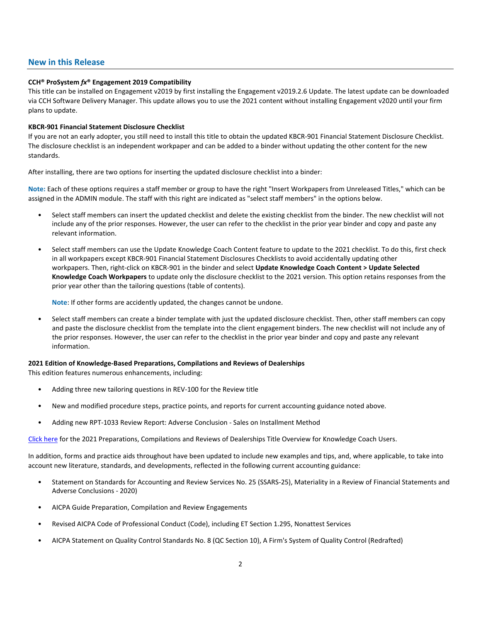## **New in this Release**

#### **CCH® ProSystem** *fx***® Engagement 2019 Compatibility**

This title can be installed on Engagement v2019 by first installing the Engagement v2019.2.6 Update. The latest update can be downloaded via CCH Software Delivery Manager. This update allows you to use the 2021 content without installing Engagement v2020 until your firm plans to update.

#### **KBCR-901 Financial Statement Disclosure Checklist**

If you are not an early adopter, you still need to install this title to obtain the updated KBCR-901 Financial Statement Disclosure Checklist. The disclosure checklist is an independent workpaper and can be added to a binder without updating the other content for the new standards.

After installing, there are two options for inserting the updated disclosure checklist into a binder:

**Note:** Each of these options requires a staff member or group to have the right "Insert Workpapers from Unreleased Titles," which can be assigned in the ADMIN module. The staff with this right are indicated as "select staff members" in the options below.

- Select staff members can insert the updated checklist and delete the existing checklist from the binder. The new checklist will not include any of the prior responses. However, the user can refer to the checklist in the prior year binder and copy and paste any relevant information.
- Select staff members can use the Update Knowledge Coach Content feature to update to the 2021 checklist. To do this, first check in all workpapers except KBCR-901 Financial Statement Disclosures Checklists to avoid accidentally updating other workpapers. Then, right-click on KBCR-901 in the binder and select **Update Knowledge Coach Content > Update Selected Knowledge Coach Workpapers** to update only the disclosure checklist to the 2021 version. This option retains responses from the prior year other than the tailoring questions (table of contents).

**Note**: If other forms are accidently updated, the changes cannot be undone.

• Select staff members can create a binder template with just the updated disclosure checklist. Then, other staff members can copy and paste the disclosure checklist from the template into the client engagement binders. The new checklist will not include any of the prior responses. However, the user can refer to the checklist in the prior year binder and copy and paste any relevant information.

#### **2021 Edition of Knowledge-Based Preparations, Compilations and Reviews of Dealerships**

This edition features numerous enhancements, including:

- Adding three new tailoring questions in REV-100 for the Review title
- New and modified procedure steps, practice points, and reports for current accounting guidance noted above.
- Adding new RPT-1033 Review Report: Adverse Conclusion Sales on Installment Method

[Click here](http://support.cch.com/updates/KnowledgeCoach/pdf/guides_tab/2021%20Dealerships%20PCR%20Title%20Overview%20for%20Knowledge%20Coach%20Users.pdf) for the 2021 Preparations, Compilations and Reviews of Dealerships Title Overview for Knowledge Coach Users.

In addition, forms and practice aids throughout have been updated to include new examples and tips, and, where applicable, to take into account new literature, standards, and developments, reflected in the following current accounting guidance:

- Statement on Standards for Accounting and Review Services No. 25 (SSARS-25), Materiality in a Review of Financial Statements and Adverse Conclusions - 2020)
- AICPA Guide Preparation, Compilation and Review Engagements
- Revised AICPA Code of Professional Conduct (Code), including ET Section 1.295, Nonattest Services
- AICPA Statement on Quality Control Standards No. 8 (QC Section 10), A Firm's System of Quality Control (Redrafted)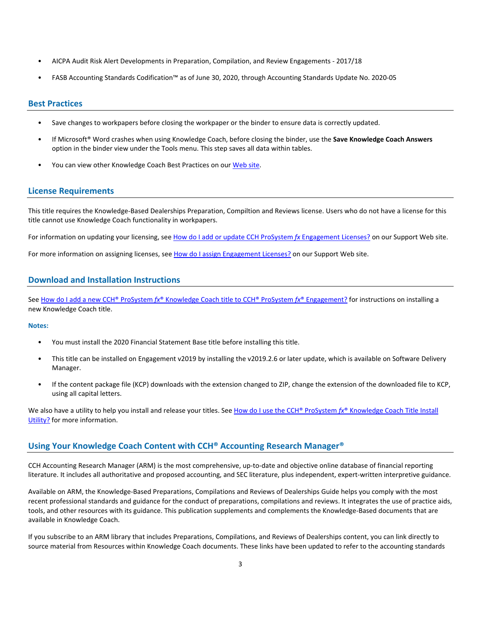- AICPA Audit Risk Alert Developments in Preparation, Compilation, and Review Engagements 2017/18
- FASB Accounting Standards Codification™ as of June 30, 2020, through Accounting Standards Update No. 2020-05

### **Best Practices**

- Save changes to workpapers before closing the workpaper or the binder to ensure data is correctly updated.
- If Microsoft® Word crashes when using Knowledge Coach, before closing the binder, use the **Save Knowledge Coach Answers** option in the binder view under the Tools menu. This step saves all data within tables.
- You can view other Knowledge Coach Best Practices on ou[r Web](https://support.cch.com/kb/solution/000034942/sw34947) site.

# **License Requirements**

This title requires the Knowledge-Based Dealerships Preparation, Compiltion and Reviews license. Users who do not have a license for this title cannot use Knowledge Coach functionality in workpapers.

For information on updating your licensing, see [How do I add or update CCH ProSystem](https://support.cch.com/kb/solution.aspx/sw3937) fx Engagement Licenses? on our Support Web site.

For more information on assigning licenses, see [How do I assign Engagement Licenses?](https://support.cch.com/kb/solution.aspx/sw3943) on our Support Web site.

# **Download and Installation Instructions**

See How do I add a new CCH® ProSystem *fx*[® Knowledge Coach title to CCH® ProSystem](https://support.cch.com/kb/solution/000033707/sw30271) *fx*® Engagement? for instructions on installing a new Knowledge Coach title.

#### **Notes:**

- You must install the 2020 Financial Statement Base title before installing this title.
- This title can be installed on Engagement v2019 by installing the v2019.2.6 or later update, which is available on Software Delivery Manager.
- If the content package file (KCP) downloads with the extension changed to ZIP, change the extension of the downloaded file to KCP, using all capital letters.

We also have a utility to help you install and release your titles. See [How do I use the CCH® ProSystem](https://support.cch.com/kb/solution/000096965/000096965)  $f x^{\circ}$  Knowledge Coach Title Install [Utility?](https://support.cch.com/kb/solution/000096965/000096965) for more information.

# **Using Your Knowledge Coach Content with CCH® Accounting Research Manager®**

CCH Accounting Research Manager (ARM) is the most comprehensive, up-to-date and objective online database of financial reporting literature. It includes all authoritative and proposed accounting, and SEC literature, plus independent, expert-written interpretive guidance.

Available on ARM, the Knowledge-Based Preparations, Compilations and Reviews of Dealerships Guide helps you comply with the most recent professional standards and guidance for the conduct of preparations, compilations and reviews. It integrates the use of practice aids, tools, and other resources with its guidance. This publication supplements and complements the Knowledge-Based documents that are available in Knowledge Coach.

If you subscribe to an ARM library that includes Preparations, Compilations, and Reviews of Dealerships content, you can link directly to source material from Resources within Knowledge Coach documents. These links have been updated to refer to the accounting standards